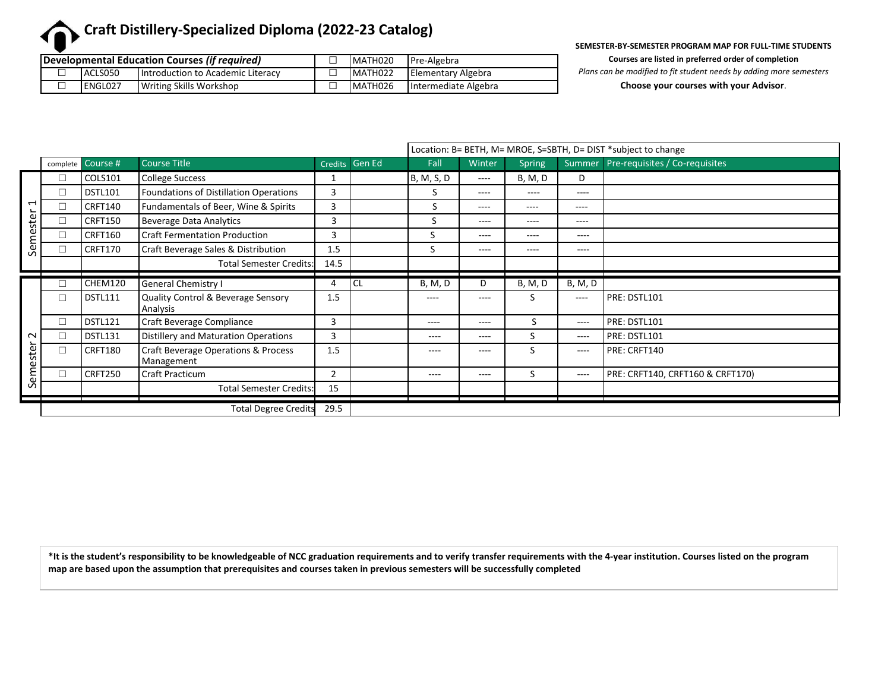# **Craft Distillery-Specialized Diploma (2022-23 Catalog)**

| <b>Developmental Education Courses (if required)</b> |   |         |                                   |  | MATH020 | Pre-Algebra          |  |
|------------------------------------------------------|---|---------|-----------------------------------|--|---------|----------------------|--|
|                                                      |   | ACLS050 | Introduction to Academic Literacy |  | MATH022 | Elementary Algebra   |  |
|                                                      | ப | ENGL027 | <b>Writing Skills Workshop</b>    |  | MATH026 | Intermediate Algebra |  |

**SEMESTER-BY-SEMESTER PROGRAM MAP FOR FULL-TIME STUDENTS**

**Courses are listed in preferred order of completion**

*Plans can be modified to fit student needs by adding more semesters*

**Choose your courses with your Advisor**.

|                          |                                     |                   |                                                   |                | Location: B= BETH, M= MROE, S=SBTH, D= DIST *subject to change |                |           |               |                |                                       |
|--------------------------|-------------------------------------|-------------------|---------------------------------------------------|----------------|----------------------------------------------------------------|----------------|-----------|---------------|----------------|---------------------------------------|
|                          |                                     | complete Course # | <b>Course Title</b>                               |                | Credits Gen Ed                                                 | Fall           | Winter    | <b>Spring</b> |                | Summer Pre-requisites / Co-requisites |
|                          | □                                   | COLS101           | <b>College Success</b>                            |                |                                                                | B, M, S, D     | $- - - -$ | B, M, D       | D              |                                       |
|                          | □                                   | <b>DSTL101</b>    | Foundations of Distillation Operations            | 3              |                                                                | S.             | $---$     | $---$         | $---$          |                                       |
| $\overline{\phantom{0}}$ | П                                   | <b>CRFT140</b>    | Fundamentals of Beer, Wine & Spirits              | 3              |                                                                | S              | $- - - -$ | $---$         | ----           |                                       |
|                          | $\Box$                              | <b>CRFT150</b>    | <b>Beverage Data Analytics</b>                    | 3              |                                                                | S              | $---$     | ----          | $---$          |                                       |
| Semester                 | $\Box$                              | <b>CRFT160</b>    | <b>Craft Fermentation Production</b>              | 3              |                                                                | S              | $---$     | ----          | $---$          |                                       |
|                          | $\Box$                              | CRFT170           | Craft Beverage Sales & Distribution               | 1.5            |                                                                | S              | $---$     | ----          | $---$          |                                       |
|                          |                                     |                   | <b>Total Semester Credits:</b>                    | 14.5           |                                                                |                |           |               |                |                                       |
|                          |                                     |                   |                                                   |                |                                                                |                |           |               |                |                                       |
|                          | $\Box$                              | CHEM120           | <b>General Chemistry I</b>                        | 4              | CL                                                             | <b>B, M, D</b> | D         | B, M, D       | <b>B, M, D</b> |                                       |
|                          | $\Box$                              | <b>DSTL111</b>    | Quality Control & Beverage Sensory<br>Analysis    | 1.5            |                                                                | $---$          | $---$     | S             | ----           | PRE: DSTL101                          |
|                          | $\Box$                              | <b>DSTL121</b>    | Craft Beverage Compliance                         | 3              |                                                                | $---$          | $---$     | N.            | $---$          | PRE: DSTL101                          |
| $\sim$                   | $\Box$                              | <b>DSTL131</b>    | Distillery and Maturation Operations              | 3              |                                                                | $- - - -$      | $---$     | S             | $---$          | PRE: DSTL101                          |
| Semester                 | $\Box$                              | <b>CRFT180</b>    | Craft Beverage Operations & Process<br>Management | 1.5            |                                                                | $- - - -$      | $--- -$   | ς             | $---$          | PRE: CRFT140                          |
|                          | $\Box$                              | <b>CRFT250</b>    | Craft Practicum                                   | $\overline{2}$ |                                                                | $- - - -$      | $---$     | S             | $---$          | PRE: CRFT140, CRFT160 & CRFT170)      |
|                          |                                     |                   | <b>Total Semester Credits:</b>                    | 15             |                                                                |                |           |               |                |                                       |
|                          | <b>Total Degree Credits</b><br>29.5 |                   |                                                   |                |                                                                |                |           |               |                |                                       |

**\*It is the student's responsibility to be knowledgeable of NCC graduation requirements and to verify transfer requirements with the 4-year institution. Courses listed on the program map are based upon the assumption that prerequisites and courses taken in previous semesters will be successfully completed**